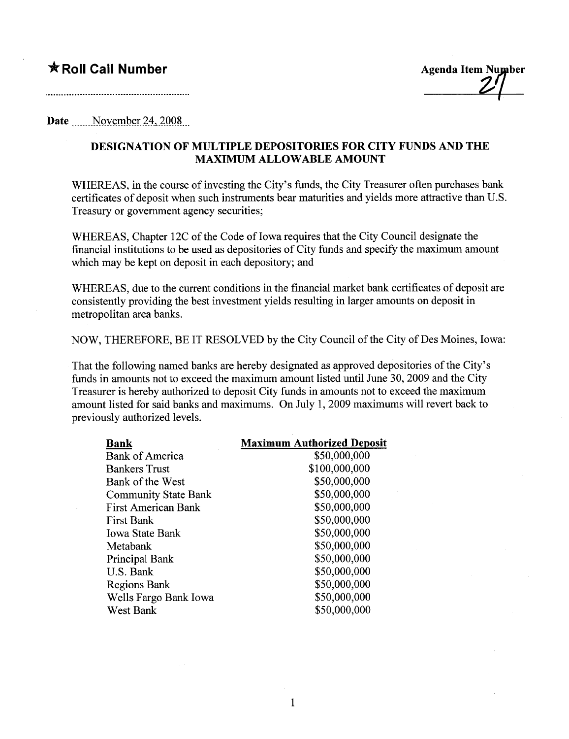## $*$  Roll Call Number

Agenda Item Number

## **Date** November 24, 2008

## DESIGNATION OF MULTIPLE DEPOSITORIES FOR CITY FUNDS AND THE MAXMUM ALLOWABLE AMOUNT

WHEREAS, in the course of investing the City's funds, the City Treasurer often purchases bank certificates of deposit when such instruments bear maturities and yields more attractive than U.S. Treasury or government agency securities;

WHEREAS, Chapter 12C of the Code of Iowa requires that the City Council designate the financial institutions to be used as depositories of City funds and specify the maximum amount which may be kept on deposit in each depository; and

WHEREAS, due to the current conditions in the financial market bank certificates of deposit are consistently providing the best investment yields resulting in larger amounts on deposit in metropolitan area banks.

NOW, THEREFORE, BE IT RESOLVED by the City Council of the City of Des Moines, Iowa:

That the following named banks are hereby designated as approved depositories of the City's funds in amounts not to exceed the maximum amount listed until June 30, 2009 and the City Treasurer is hereby authorized to deposit City funds in amounts not to exceed the maximum amount listed for said banks and maximums. On July 1, 2009 maximums will revert back to previously authorized levels.

| Bank                        | <b>Maximum Authorized Deposit</b> |
|-----------------------------|-----------------------------------|
| <b>Bank of America</b>      | \$50,000,000                      |
| <b>Bankers Trust</b>        | \$100,000,000                     |
| Bank of the West            | \$50,000,000                      |
| <b>Community State Bank</b> | \$50,000,000                      |
| First American Bank         | \$50,000,000                      |
| <b>First Bank</b>           | \$50,000,000                      |
| <b>Iowa State Bank</b>      | \$50,000,000                      |
| Metabank                    | \$50,000,000                      |
| Principal Bank              | \$50,000,000                      |
| U.S. Bank                   | \$50,000,000                      |
| Regions Bank                | \$50,000,000                      |
| Wells Fargo Bank Iowa       | \$50,000,000                      |
| West Bank                   | \$50,000,000                      |